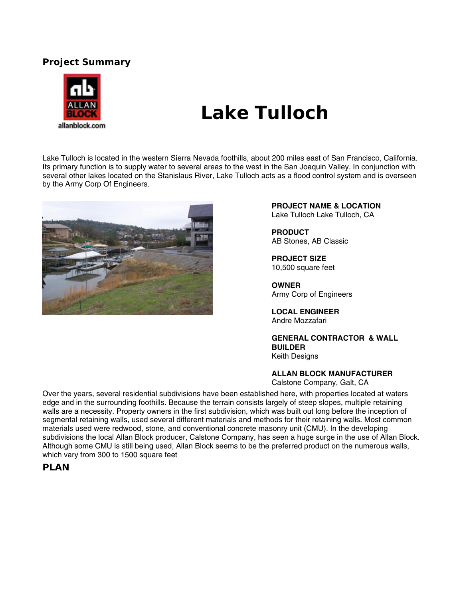## **Project Summary**



# **Lake Tulloch**

Lake Tulloch is located in the western Sierra Nevada foothills, about 200 miles east of San Francisco, California. Its primary function is to supply water to several areas to the west in the San Joaquin Valley. In conjunction with several other lakes located on the Stanislaus River, Lake Tulloch acts as a flood control system and is overseen by the Army Corp Of Engineers.



**PROJECT NAME & LOCATION**  Lake Tulloch Lake Tulloch, CA

**PRODUCT**  AB Stones, AB Classic

**PROJECT SIZE**  10,500 square feet

**OWNER** Army Corp of Engineers

**LOCAL ENGINEER** Andre Mozzafari

**GENERAL CONTRACTOR & WALL BUILDER**  Keith Designs

**ALLAN BLOCK MANUFACTURER** 

Calstone Company, Galt, CA

Over the years, several residential subdivisions have been established here, with properties located at waters edge and in the surrounding foothills. Because the terrain consists largely of steep slopes, multiple retaining walls are a necessity. Property owners in the first subdivision, which was built out long before the inception of segmental retaining walls, used several different materials and methods for their retaining walls. Most common materials used were redwood, stone, and conventional concrete masonry unit (CMU). In the developing subdivisions the local Allan Block producer, Calstone Company, has seen a huge surge in the use of Allan Block. Although some CMU is still being used, Allan Block seems to be the preferred product on the numerous walls, which vary from 300 to 1500 square feet

#### **PLAN**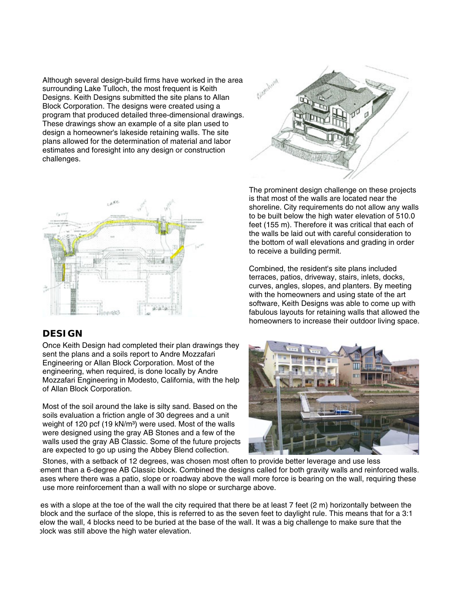Although several design-build firms have worked in the area surrounding Lake Tulloch, the most frequent is Keith Designs. Keith Designs submitted the site plans to Allan Block Corporation. The designs were created using a program that produced detailed three-dimensional drawings. These drawings show an example of a site plan used to design a homeowner's lakeside retaining walls. The site plans allowed for the determination of material and labor estimates and foresight into any design or construction challenges.





#### **DESIGN**

Once Keith Design had completed their plan drawings they sent the plans and a soils report to Andre Mozzafari Engineering or Allan Block Corporation. Most of the engineering, when required, is done locally by Andre Mozzafari Engineering in Modesto, California, with the help of Allan Block Corporation.

Most of the soil around the lake is silty sand. Based on the soils evaluation a friction angle of 30 degrees and a unit weight of 120 pcf (19 kN/m<sup>3</sup>) were used. Most of the walls were designed using the gray AB Stones and a few of the walls used the gray AB Classic. Some of the future projects are expected to go up using the Abbey Blend collection.

The prominent design challenge on these projects is that most of the walls are located near the shoreline. City requirements do not allow any walls to be built below the high water elevation of 510.0 feet (155 m). Therefore it was critical that each of the walls be laid out with careful consideration to the bottom of wall elevations and grading in order to receive a building permit.

Combined, the resident's site plans included terraces, patios, driveway, stairs, inlets, docks, curves, angles, slopes, and planters. By meeting with the homeowners and using state of the art software, Keith Designs was able to come up with fabulous layouts for retaining walls that allowed the homeowners to increase their outdoor living space.



 Stones, with a setback of 12 degrees, was chosen most often to provide better leverage and use less ement than a 6-degree AB Classic block. Combined the designs called for both gravity walls and reinforced walls. ases where there was a patio, slope or roadway above the wall more force is bearing on the wall, requiring these use more reinforcement than a wall with no slope or surcharge above.

es with a slope at the toe of the wall the city required that there be at least 7 feet (2 m) horizontally between the block and the surface of the slope, this is referred to as the seven feet to daylight rule. This means that for a 3:1 elow the wall, 4 blocks need to be buried at the base of the wall. It was a big challenge to make sure that the block was still above the high water elevation.